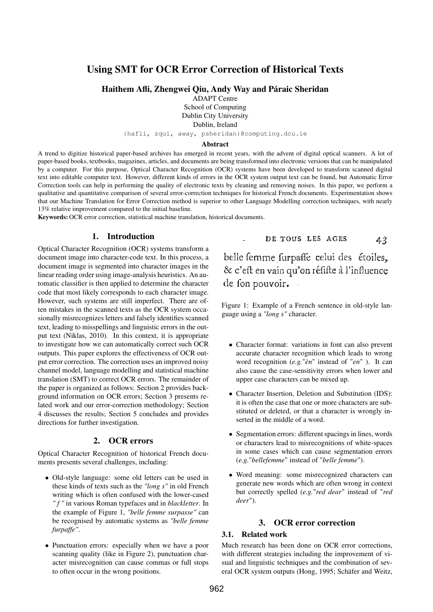# Using SMT for OCR Error Correction of Historical Texts

Haithem Afli, Zhengwei Qiu, Andy Way and Páraic Sheridan

ADAPT Centre

School of Computing

Dublin City University

Dublin, Ireland

{hafli, zqui, away, psheridan}@computing.dcu.ie

#### Abstract

A trend to digitize historical paper-based archives has emerged in recent years, with the advent of digital optical scanners. A lot of paper-based books, textbooks, magazines, articles, and documents are being transformed into electronic versions that can be manipulated by a computer. For this purpose, Optical Character Recognition (OCR) systems have been developed to transform scanned digital text into editable computer text. However, different kinds of errors in the OCR system output text can be found, but Automatic Error Correction tools can help in performing the quality of electronic texts by cleaning and removing noises. In this paper, we perform a qualitative and quantitative comparison of several error-correction techniques for historical French documents. Experimentation shows that our Machine Translation for Error Correction method is superior to other Language Modelling correction techniques, with nearly 13% relative improvement compared to the initial baseline.

Keywords: OCR error correction, statistical machine translation, historical documents.

### 1. Introduction

Optical Character Recognition (OCR) systems transform a document image into character-code text. In this process, a document image is segmented into character images in the linear reading order using image-analysis heuristics. An automatic classifier is then applied to determine the character code that most likely corresponds to each character image. However, such systems are still imperfect. There are often mistakes in the scanned texts as the OCR system occasionally misrecognizes letters and falsely identifies scanned text, leading to misspellings and linguistic errors in the output text (Niklas, 2010). In this context, it is appropriate to investigate how we can automatically correct such OCR outputs. This paper explores the effectiveness of OCR output error correction. The correction uses an improved noisy channel model, language modelling and statistical machine translation (SMT) to correct OCR errors. The remainder of the paper is organized as follows: Section 2 provides background information on OCR errors; Section 3 presents related work and our error-correction methodology; Section 4 discusses the results; Section 5 concludes and provides directions for further investigation.

### 2. OCR errors

Optical Character Recognition of historical French documents presents several challenges, including:

- Old-style language: some old letters can be used in these kinds of texts such as the *"long s"* in old French writing which is often confused with the lower-cased *" f "* in various Roman typefaces and in *blackletter*. In the example of Figure 1, *"belle femme surpasse"* can be recognised by automatic systems as *"belle femme furpaffe"*.
- Punctuation errors: especially when we have a poor scanning quality (like in Figure 2), punctuation character misrecognition can cause commas or full stops to often occur in the wrong positions.

DE TOUS LES AGES  $43$ 

belle femme furpaffe celui des étoiles, & c'eft en vain qu'on réfifte à l'influence de fon pouvoir.

Figure 1: Example of a French sentence in old-style language using a *"long s"* character.

- Character format: variations in font can also prevent accurate character recognition which leads to wrong word recognition (*e.g.*"*èn*" instead of "*en*" ). It can also cause the case-sensitivity errors when lower and upper case characters can be mixed up.
- Character Insertion, Deletion and Substitution (IDS): it is often the case that one or more characters are substituted or deleted, or that a character is wrongly inserted in the middle of a word.
- Segmentation errors: different spacings in lines, words or characters lead to misrecognitions of white-spaces in some cases which can cause segmentation errors (*e.g.*"*bellefemme*" instead of "*belle femme*").
- Word meaning: some misrecognized characters can generate new words which are often wrong in context but correctly spelled (*e.g.*"*red dear*" instead of "*red deer*").

### 3. OCR error correction

### 3.1. Related work

Much research has been done on OCR error corrections, with different strategies including the improvement of visual and linguistic techniques and the combination of several OCR system outputs (Hong, 1995; Schäfer and Weitz,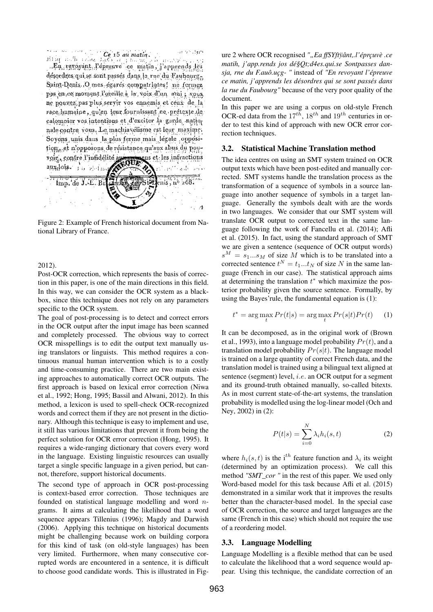Hing noth that lies is an matin. desordres qui se sont passes dans la rue du Faubourg, Saint-Denis. O mes égares compatriotes! ne fermez pas en ce moment l'oreille à la voix d'un ami ; vous ne pouvez, pas plus servir vos ennemis et céux de la race humaine, qu'en leur fournissant ce prétexie de calomnier vos intentions et d'exciter la garde nationale contre vous. Le machiavélisme est leur maxime. Soyons, unis dans la plus ferme mais légale opposition et n'opposons de résistance qu'aux abus du pousens et les infractions voir, contre l'infidélité aux se  $\text{aux}_\text{rf}$ ois  $\mathcal{L}_{\text{tr}}$ an Chaidh  $\overline{\text{enis}}, \overline{\text{no}}$  208. Imp. de J.-E. Be  $\mathcal{A}$ 

Figure 2: Example of French historical document from National Library of France.

#### 2012).

Post-OCR correction, which represents the basis of correction in this paper, is one of the main directions in this field. In this way, we can consider the OCR system as a blackbox, since this technique does not rely on any parameters specific to the OCR system.

The goal of post-processing is to detect and correct errors in the OCR output after the input image has been scanned and completely processed. The obvious way to correct OCR misspellings is to edit the output text manually using translators or linguists. This method requires a continuous manual human intervention which is to a costly and time-consuming practice. There are two main existing approaches to automatically correct OCR outputs. The first approach is based on lexical error correction (Niwa et al., 1992; Hong, 1995; Bassil and Alwani, 2012). In this method, a lexicon is used to spell-check OCR-recognized words and correct them if they are not present in the dictionary. Although this technique is easy to implement and use, it still has various limitations that prevent it from being the perfect solution for OCR error correction (Hong, 1995). It requires a wide-ranging dictionary that covers every word in the language. Existing linguistic resources can usually target a single specific language in a given period, but cannot, therefore, support historical documents.

The second type of approach in OCR post-processing is context-based error correction. Those techniques are founded on statistical language modelling and word ngrams. It aims at calculating the likelihood that a word sequence appears Tillenius (1996); Magdy and Darwish (2006). Applying this technique on historical documents might be challenging because work on building corpora for this kind of task (on old-style languages) has been very limited. Furthermore, when many consecutive corrupted words are encountered in a sentence, it is difficult to choose good candidate words. This is illustrated in Figure 2 where OCR recognised ""Ea ffSYftÿânt,.l'éprçuvè .ce *matih, j'app.rends jos dé§Qt;d4es.qui.se Sontpasses dansja, rne du F.auô.uçg- "* instead of *"En revoyant l'épreuve ce matin, j'apprends les désordres qui se sont passés dans la rue du Faubourg"* because of the very poor quality of the document.

In this paper we are using a corpus on old-style French OCR-ed data from the  $17^{th}$ ,  $18^{th}$  and  $19^{th}$  centuries in order to test this kind of approach with new OCR error correction techniques.

#### 3.2. Statistical Machine Translation method

The idea centres on using an SMT system trained on OCR output texts which have been post-edited and manually corrected. SMT systems handle the translation process as the transformation of a sequence of symbols in a source language into another sequence of symbols in a target language. Generally the symbols dealt with are the words in two languages. We consider that our SMT system will translate OCR output to corrected text in the same language following the work of Fancellu et al. (2014); Afli et al. (2015). In fact, using the standard approach of SMT we are given a sentence (sequence of OCR output words)  $s^M = s_1...s_M$  of size M which is to be translated into a corrected sentence  $t^N = t_1...t_N$  of size N in the same language (French in our case). The statistical approach aims at determining the translation  $t^*$  which maximize the posterior probability given the source sentence. Formally, by using the Bayes'rule, the fundamental equation is (1):

$$
t^* = \arg\max_t Pr(t|s) = \arg\max_t Pr(s|t)Pr(t) \tag{1}
$$

It can be decomposed, as in the original work of (Brown et al., 1993), into a language model probability  $Pr(t)$ , and a translation model probability  $Pr(s|t)$ . The language model is trained on a large quantity of correct French data, and the translation model is trained using a bilingual text aligned at sentence (segment) level, i.e. an OCR output for a segment and its ground-truth obtained manually, so-called bitexts. As in most current state-of-the-art systems, the translation probability is modelled using the log-linear model (Och and Ney, 2002) in (2):

$$
P(t|s) = \sum_{i=0}^{N} \lambda_i h_i(s, t)
$$
 (2)

where  $h_i(s, t)$  is the i<sup>th</sup> feature function and  $\lambda_i$  its weight (determined by an optimization process). We call this method *"SMT\_cor "* in the rest of this paper. We used only Word-based model for this task because Afli et al. (2015) demonstrated in a similar work that it improves the results better than the character-based model. In the special case of OCR correction, the source and target languages are the same (French in this case) which should not require the use of a reordering model.

#### 3.3. Language Modelling

Language Modelling is a flexible method that can be used to calculate the likelihood that a word sequence would appear. Using this technique, the candidate correction of an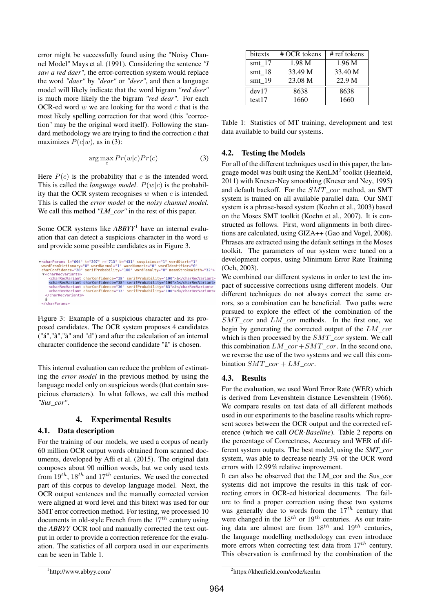error might be successfully found using the "Noisy Channel Model" Mays et al. (1991). Considering the sentence *"I saw a red daer"*, the error-correction system would replace the word *"daer"* by *"dear"* or *"deer"*, and then a language model will likely indicate that the word bigram *"red deer"* is much more likely the the bigram *"red dear"*. For each OCR-ed word  $w$  we are looking for the word  $c$  that is the most likely spelling correction for that word (this "correction" may be the original word itself). Following the standard methodology we are trying to find the correction  $c$  that maximizes  $P(c|w)$ , as in (3):

$$
\arg\max_{c} Pr(w|c)Pr(c)
$$
 (3)

Here  $P(c)$  is the probability that c is the intended word. This is called the *language model*.  $P(w|c)$  is the probability that the OCR system recognises  $w$  when  $c$  is intended. This is called the *error model* or the *noisy channel model*. We call this method *"LM\_cor"* in the rest of this paper.

Some OCR systems like *ABBYY*<sup>1</sup> have an internal evaluation that can detect a suspicious character in the word  $w$ and provide some possible candidates as in Figure 3.

Figure 3: Example of a suspicious character and its proposed candidates. The OCR system proposes 4 candidates ("á","â","à" and "d") and after the calculation of an internal character confidence the second candidate "â" is chosen.

This internal evaluation can reduce the problem of estimating the *error model* in the previous method by using the language model only on suspicious words (that contain suspicious characters). In what follows, we call this method *"Sus\_cor"*.

# 4. Experimental Results

# 4.1. Data description

For the training of our models, we used a corpus of nearly 60 million OCR output words obtained from scanned documents, developed by Afli et al. (2015). The original data composes about 90 million words, but we only used texts from  $19^{th}$ ,  $18^{th}$  and  $17^{th}$  centuries. We used the corrected part of this corpus to develop language model. Next, the OCR output sentences and the manually corrected version were aligned at word level and this bitext was used for our SMT error correction method. For testing, we processed 10 documents in old-style French from the  $17<sup>th</sup>$  century using the *ABBYY* OCR tool and manually corrected the text output in order to provide a correction reference for the evaluation. The statistics of all corpora used in our experiments can be seen in Table 1.

| bitexts  | # OCR tokens | # ref tokens |  |  |
|----------|--------------|--------------|--|--|
| $smt_17$ | 1.98 M       | 1.96 M       |  |  |
| smt $18$ | 33.49 M      | 33.40 M      |  |  |
| smt $19$ | 23.08 M      | 22.9 M       |  |  |
| dev17    | 8638         | 8638         |  |  |
| test17   | 1660         | 1660         |  |  |

Table 1: Statistics of MT training, development and test data available to build our systems.

# 4.2. Testing the Models

For all of the different techniques used in this paper, the language model was built using the KenL $M^2$  toolkit (Heafield, 2011) with Kneser-Ney smoothing (Kneser and Ney, 1995) and default backoff. For the  $SMT\_cor$  method, an SMT system is trained on all available parallel data. Our SMT system is a phrase-based system (Koehn et al., 2003) based on the Moses SMT toolkit (Koehn et al., 2007). It is constructed as follows. First, word alignments in both directions are calculated, using GIZA++ (Gao and Vogel, 2008). Phrases are extracted using the default settings in the Moses toolkit. The parameters of our system were tuned on a development corpus, using Minimum Error Rate Training (Och, 2003).

We combined our different systems in order to test the impact of successive corrections using different models. Our different techniques do not always correct the same errors, so a combination can be beneficial. Two paths were pursued to explore the effect of the combination of the  $SMT\_cor$  and  $LM\_cor$  methods. In the first one, we begin by generating the corrected output of the  $LM\_cor$ which is then processed by the  $SMT\_cor$  system. We call this combination  $LM$  cor+SMT cor. In the second one, we reverse the use of the two systems and we call this combination  $SMT\_cor + LM\_cor$ .

# 4.3. Results

For the evaluation, we used Word Error Rate (WER) which is derived from Levenshtein distance Levenshtein (1966). We compare results on test data of all different methods used in our experiments to the baseline results which represent scores between the OCR output and the corrected reference (which we call *OCR-Baseline*). Table 2 reports on the percentage of Correctness, Accuracy and WER of different system outputs. The best model, using the *SMT\_cor* system, was able to decrease nearly 3% of the OCR word errors with 12.99% relative improvement.

It can also be observed that the LM\_cor and the Sus\_cor systems did not improve the results in this task of correcting errors in OCR-ed historical documents. The failure to find a proper correction using these two systems was generally due to words from the  $17^{th}$  century that were changed in the  $18^{th}$  or  $19^{th}$  centuries. As our training data are almost are from  $18^{th}$  and  $19^{th}$  centuries, the language modelling methodology can even introduce more errors when correcting test data from  $17<sup>th</sup>$  century. This observation is confirmed by the combination of the

<sup>▼&</sup>lt;charParams l="694" t="397" r="713" b="431" suspicious="1" word5tart="1"<br>wordFromDictionary="0" wordNormal="1" wordNumeric="0" wordIdentifier="0"<br>charConfidence="38" serifProbability="100" wordPenalty="0" meanStrokeWidth v<charRecVariants> charRecVariants><br><charRecVariant charConfidence="38" serifProbability="100">á</charRecVariant><br><charRecVariant charConfidence="38" serifProbability="100">å</charRecVariant> <charRecVariant charConfidence="36" serifProbability="83">à</charRecVariant><br><charRecVariant charConfidence="13" serifProbability="100">d</charRecVariant> </charRecVariants>  $\le$ /charParams>

<sup>1</sup> http://www.abbyy.com/

<sup>2</sup> https://kheafield.com/code/kenlm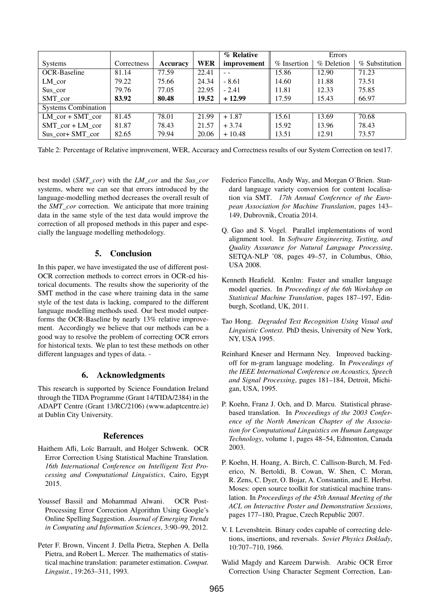|                            |             |          |       | % Relative  | <b>Errors</b> |            |                |
|----------------------------|-------------|----------|-------|-------------|---------------|------------|----------------|
| <b>Systems</b>             | Correctness | Accuracy | WER   | improvement | % Insertion   | % Deletion | % Substitution |
| <b>OCR-Baseline</b>        | 81.14       | 77.59    | 22.41 | $ -$        | 15.86         | 12.90      | 71.23          |
| $LM\_cor$                  | 79.22       | 75.66    | 24.34 | $-8.61$     | 14.60         | 11.88      | 73.51          |
| $Sus\_cor$                 | 79.76       | 77.05    | 22.95 | $-2.41$     | 11.81         | 12.33      | 75.85          |
| SMT cor                    | 83.92       | 80.48    | 19.52 | $+12.99$    | 17.59         | 15.43      | 66.97          |
| <b>Systems Combination</b> |             |          |       |             |               |            |                |
| LM $cor + SMT$ cor         | 81.45       | 78.01    | 21.99 | $+1.87$     | 15.61         | 13.69      | 70.68          |
| $SMT$ cor + LM cor         | 81.87       | 78.43    | 21.57 | $+3.74$     | 15.92         | 13.96      | 78.43          |
| Sus cor+ SMT cor           | 82.65       | 79.94    | 20.06 | $+10.48$    | 13.51         | 12.91      | 73.57          |

Table 2: Percentage of Relative improvement, WER, Accuracy and Correctness results of our System Correction on test17.

best model (*SMT\_cor*) with the *LM\_cor* and the *Sus\_cor* systems, where we can see that errors introduced by the language-modelling method decreases the overall result of the *SMT\_cor* correction. We anticipate that more training data in the same style of the test data would improve the correction of all proposed methods in this paper and especially the language modelling methodology.

### 5. Conclusion

In this paper, we have investigated the use of different post-OCR correction methods to correct errors in OCR-ed historical documents. The results show the superiority of the SMT method in the case where training data in the same style of the test data is lacking, compared to the different language modelling methods used. Our best model outperforms the OCR-Baseline by nearly 13% relative improvement. Accordingly we believe that our methods can be a good way to resolve the problem of correcting OCR errors for historical texts. We plan to test these methods on other different languages and types of data. -

### 6. Acknowledgments

This research is supported by Science Foundation Ireland through the TIDA Programme (Grant 14/TIDA/2384) in the ADAPT Centre (Grant 13/RC/2106) (www.adaptcentre.ie) at Dublin City University.

#### References

- Haithem Afli, Loïc Barrault, and Holger Schwenk. OCR Error Correction Using Statistical Machine Translation. *16th International Conference on Intelligent Text Processing and Computational Linguistics*, Cairo, Egypt 2015.
- Youssef Bassil and Mohammad Alwani. OCR Post-Processing Error Correction Algorithm Using Google's Online Spelling Suggestion. *Journal of Emerging Trends in Computing and Information Sciences*, 3:90–99, 2012.
- Peter F. Brown, Vincent J. Della Pietra, Stephen A. Della Pietra, and Robert L. Mercer. The mathematics of statistical machine translation: parameter estimation. *Comput. Linguist.*, 19:263–311, 1993.
- Federico Fancellu, Andy Way, and Morgan O'Brien. Standard language variety conversion for content localisation via SMT. *17th Annual Conference of the European Association for Machine Translation*, pages 143– 149, Dubrovnik, Croatia 2014.
- Q. Gao and S. Vogel. Parallel implementations of word alignment tool. In *Software Engineering, Testing, and Quality Assurance for Natural Language Processing*, SETQA-NLP '08, pages 49–57, in Columbus, Ohio, USA 2008.
- Kenneth Heafield. Kenlm: Faster and smaller language model queries. In *Proceedings of the 6th Workshop on Statistical Machine Translation*, pages 187–197, Edinburgh, Scotland, UK, 2011.
- Tao Hong. *Degraded Text Recognition Using Visual and Linguistic Context*. PhD thesis, University of New York, NY, USA 1995.
- Reinhard Kneser and Hermann Ney. Improved backingoff for m-gram language modeling. In *Proceedings of the IEEE International Conference on Acoustics, Speech and Signal Processing*, pages 181–184, Detroit, Michigan, USA, 1995.
- P. Koehn, Franz J. Och, and D. Marcu. Statistical phrasebased translation. In *Proceedings of the 2003 Conference of the North American Chapter of the Association for Computational Linguistics on Human Language Technology*, volume 1, pages 48–54, Edmonton, Canada 2003.
- P. Koehn, H. Hoang, A. Birch, C. Callison-Burch, M. Federico, N. Bertoldi, B. Cowan, W. Shen, C. Moran, R. Zens, C. Dyer, O. Bojar, A. Constantin, and E. Herbst. Moses: open source toolkit for statistical machine translation. In *Proceedings of the 45th Annual Meeting of the ACL on Interactive Poster and Demonstration Sessions*, pages 177–180, Prague, Czech Republic 2007.
- V. I. Levenshtein. Binary codes capable of correcting deletions, insertions, and reversals. *Soviet Physics Doklady*, 10:707–710, 1966.
- Walid Magdy and Kareem Darwish. Arabic OCR Error Correction Using Character Segment Correction, Lan-